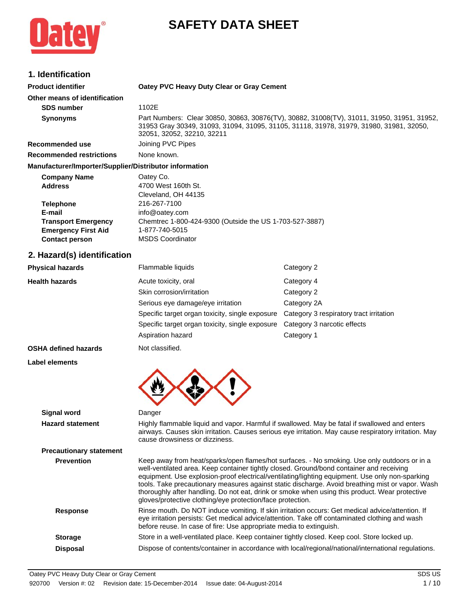

# **SAFETY DATA SHEET**

# **1. Identification**

| ו ושטוויווימנוטוו                                                   |                                                                                                                                                                                                                     |                                         |  |  |
|---------------------------------------------------------------------|---------------------------------------------------------------------------------------------------------------------------------------------------------------------------------------------------------------------|-----------------------------------------|--|--|
| <b>Product identifier</b>                                           | Oatey PVC Heavy Duty Clear or Gray Cement                                                                                                                                                                           |                                         |  |  |
| Other means of identification                                       |                                                                                                                                                                                                                     |                                         |  |  |
| <b>SDS number</b>                                                   | 1102E                                                                                                                                                                                                               |                                         |  |  |
| <b>Synonyms</b>                                                     | Part Numbers: Clear 30850, 30863, 30876(TV), 30882, 31008(TV), 31011, 31950, 31951, 31952,<br>31953 Gray 30349, 31093, 31094, 31095, 31105, 31118, 31978, 31979, 31980, 31981, 32050,<br>32051, 32052, 32210, 32211 |                                         |  |  |
| Recommended use                                                     | Joining PVC Pipes                                                                                                                                                                                                   |                                         |  |  |
| <b>Recommended restrictions</b>                                     | None known.                                                                                                                                                                                                         |                                         |  |  |
| Manufacturer/Importer/Supplier/Distributor information              |                                                                                                                                                                                                                     |                                         |  |  |
| <b>Company Name</b><br><b>Address</b><br><b>Telephone</b><br>E-mail | Oatey Co.<br>4700 West 160th St.<br>Cleveland, OH 44135<br>216-267-7100<br>info@oatey.com                                                                                                                           |                                         |  |  |
| <b>Transport Emergency</b>                                          | Chemtrec 1-800-424-9300 (Outside the US 1-703-527-3887)                                                                                                                                                             |                                         |  |  |
| <b>Emergency First Aid</b><br><b>Contact person</b>                 | 1-877-740-5015<br><b>MSDS Coordinator</b>                                                                                                                                                                           |                                         |  |  |
|                                                                     |                                                                                                                                                                                                                     |                                         |  |  |
| 2. Hazard(s) identification                                         |                                                                                                                                                                                                                     |                                         |  |  |
| <b>Physical hazards</b>                                             | Flammable liquids                                                                                                                                                                                                   | Category 2                              |  |  |
| <b>Health hazards</b>                                               | Acute toxicity, oral                                                                                                                                                                                                | Category 4                              |  |  |
|                                                                     | Skin corrosion/irritation                                                                                                                                                                                           | Category 2                              |  |  |
|                                                                     | Serious eye damage/eye irritation                                                                                                                                                                                   | Category 2A                             |  |  |
|                                                                     | Specific target organ toxicity, single exposure                                                                                                                                                                     | Category 3 respiratory tract irritation |  |  |
|                                                                     | Specific target organ toxicity, single exposure                                                                                                                                                                     | Category 3 narcotic effects             |  |  |
|                                                                     | Aspiration hazard                                                                                                                                                                                                   | Category 1                              |  |  |
| <b>OSHA defined hazards</b>                                         | Not classified.                                                                                                                                                                                                     |                                         |  |  |
| <b>Label elements</b>                                               |                                                                                                                                                                                                                     |                                         |  |  |
|                                                                     |                                                                                                                                                                                                                     |                                         |  |  |
| <b>Signal word</b>                                                  | Danger                                                                                                                                                                                                              |                                         |  |  |

**Hazard statement** Highly flammable liquid and vapor. Harmful if swallowed. May be fatal if swallowed and enters airways. Causes skin irritation. Causes serious eye irritation. May cause respiratory irritation. May cause drowsiness or dizziness.

# **Precautionary statement**

**Prevention** Keep away from heat/sparks/open flames/hot surfaces. - No smoking. Use only outdoors or in a well-ventilated area. Keep container tightly closed. Ground/bond container and receiving equipment. Use explosion-proof electrical/ventilating/lighting equipment. Use only non-sparking tools. Take precautionary measures against static discharge. Avoid breathing mist or vapor. Wash thoroughly after handling. Do not eat, drink or smoke when using this product. Wear protective gloves/protective clothing/eye protection/face protection. Response **Rinse mouth. Do NOT induce vomiting. If skin irritation occurs: Get medical advice/attention. If** eye irritation persists: Get medical advice/attention. Take off contaminated clothing and wash before reuse. In case of fire: Use appropriate media to extinguish. **Storage** Store in a well-ventilated place. Keep container tightly closed. Keep cool. Store locked up.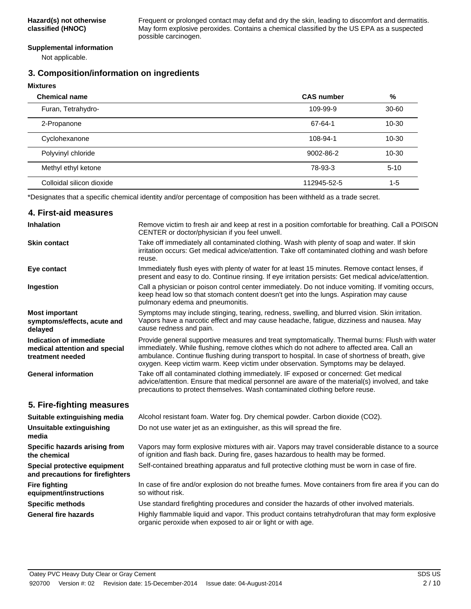Frequent or prolonged contact may defat and dry the skin, leading to discomfort and dermatitis. May form explosive peroxides. Contains a chemical classified by the US EPA as a suspected possible carcinogen.

#### **Supplemental information**

Not applicable.

# **3. Composition/information on ingredients**

| <b>Mixtures</b>           |                   |           |
|---------------------------|-------------------|-----------|
| <b>Chemical name</b>      | <b>CAS number</b> | %         |
| Furan, Tetrahydro-        | 109-99-9          | $30 - 60$ |
| 2-Propanone               | 67-64-1           | $10 - 30$ |
| Cyclohexanone             | 108-94-1          | $10 - 30$ |
| Polyvinyl chloride        | 9002-86-2         | $10 - 30$ |
| Methyl ethyl ketone       | 78-93-3           | $5 - 10$  |
| Colloidal silicon dioxide | 112945-52-5       | $1 - 5$   |

\*Designates that a specific chemical identity and/or percentage of composition has been withheld as a trade secret.

# **4. First-aid measures**

| Inhalation                                                                   | Remove victim to fresh air and keep at rest in a position comfortable for breathing. Call a POISON<br>CENTER or doctor/physician if you feel unwell.                                                                                                                                                                                                                                |  |
|------------------------------------------------------------------------------|-------------------------------------------------------------------------------------------------------------------------------------------------------------------------------------------------------------------------------------------------------------------------------------------------------------------------------------------------------------------------------------|--|
| <b>Skin contact</b>                                                          | Take off immediately all contaminated clothing. Wash with plenty of soap and water. If skin<br>irritation occurs: Get medical advice/attention. Take off contaminated clothing and wash before<br>reuse.                                                                                                                                                                            |  |
| Eye contact                                                                  | Immediately flush eyes with plenty of water for at least 15 minutes. Remove contact lenses, if<br>present and easy to do. Continue rinsing. If eye irritation persists: Get medical advice/attention.                                                                                                                                                                               |  |
| Ingestion                                                                    | Call a physician or poison control center immediately. Do not induce vomiting. If vomiting occurs,<br>keep head low so that stomach content doesn't get into the lungs. Aspiration may cause<br>pulmonary edema and pneumonitis.                                                                                                                                                    |  |
| <b>Most important</b><br>symptoms/effects, acute and<br>delayed              | Symptoms may include stinging, tearing, redness, swelling, and blurred vision. Skin irritation.<br>Vapors have a narcotic effect and may cause headache, fatigue, dizziness and nausea. May<br>cause redness and pain.                                                                                                                                                              |  |
| Indication of immediate<br>medical attention and special<br>treatment needed | Provide general supportive measures and treat symptomatically. Thermal burns: Flush with water<br>immediately. While flushing, remove clothes which do not adhere to affected area. Call an<br>ambulance. Continue flushing during transport to hospital. In case of shortness of breath, give<br>oxygen. Keep victim warm. Keep victim under observation. Symptoms may be delayed. |  |
| <b>General information</b>                                                   | Take off all contaminated clothing immediately. IF exposed or concerned: Get medical<br>advice/attention. Ensure that medical personnel are aware of the material(s) involved, and take<br>precautions to protect themselves. Wash contaminated clothing before reuse.                                                                                                              |  |
| 5. Fire-fighting measures                                                    |                                                                                                                                                                                                                                                                                                                                                                                     |  |
| Suitable extinguishing media                                                 | Alcohol resistant foam. Water fog. Dry chemical powder. Carbon dioxide (CO2).                                                                                                                                                                                                                                                                                                       |  |
| <b>Unsuitable extinguishing</b><br>media                                     | Do not use water jet as an extinguisher, as this will spread the fire.                                                                                                                                                                                                                                                                                                              |  |
| Specific hazards arising from<br>the chemical                                | Vapors may form explosive mixtures with air. Vapors may travel considerable distance to a source<br>of ignition and flash back. During fire, gases hazardous to health may be formed.                                                                                                                                                                                               |  |
| Special protective equipment<br>and precautions for firefighters             | Self-contained breathing apparatus and full protective clothing must be worn in case of fire.                                                                                                                                                                                                                                                                                       |  |
| <b>Fire fighting</b><br>equipment/instructions                               | In case of fire and/or explosion do not breathe fumes. Move containers from fire area if you can do<br>so without risk.                                                                                                                                                                                                                                                             |  |
| <b>Specific methods</b>                                                      | Use standard firefighting procedures and consider the hazards of other involved materials.                                                                                                                                                                                                                                                                                          |  |
| <b>General fire hazards</b>                                                  | Highly flammable liquid and vapor. This product contains tetrahydrofuran that may form explosive<br>organic peroxide when exposed to air or light or with age.                                                                                                                                                                                                                      |  |
|                                                                              |                                                                                                                                                                                                                                                                                                                                                                                     |  |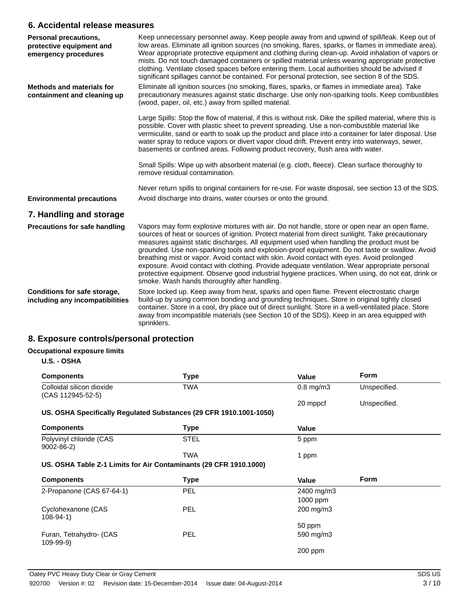# **6. Accidental release measures**

| Personal precautions,<br>protective equipment and<br>emergency procedures | Keep unnecessary personnel away. Keep people away from and upwind of spill/leak. Keep out of<br>low areas. Eliminate all ignition sources (no smoking, flares, sparks, or flames in immediate area).<br>Wear appropriate protective equipment and clothing during clean-up. Avoid inhalation of vapors or<br>mists. Do not touch damaged containers or spilled material unless wearing appropriate protective<br>clothing. Ventilate closed spaces before entering them. Local authorities should be advised if<br>significant spillages cannot be contained. For personal protection, see section 8 of the SDS.                                                                                                                                      |
|---------------------------------------------------------------------------|-------------------------------------------------------------------------------------------------------------------------------------------------------------------------------------------------------------------------------------------------------------------------------------------------------------------------------------------------------------------------------------------------------------------------------------------------------------------------------------------------------------------------------------------------------------------------------------------------------------------------------------------------------------------------------------------------------------------------------------------------------|
| <b>Methods and materials for</b><br>containment and cleaning up           | Eliminate all ignition sources (no smoking, flares, sparks, or flames in immediate area). Take<br>precautionary measures against static discharge. Use only non-sparking tools. Keep combustibles<br>(wood, paper, oil, etc.) away from spilled material.                                                                                                                                                                                                                                                                                                                                                                                                                                                                                             |
|                                                                           | Large Spills: Stop the flow of material, if this is without risk. Dike the spilled material, where this is<br>possible. Cover with plastic sheet to prevent spreading. Use a non-combustible material like<br>vermiculite, sand or earth to soak up the product and place into a container for later disposal. Use<br>water spray to reduce vapors or divert vapor cloud drift. Prevent entry into waterways, sewer,<br>basements or confined areas. Following product recovery, flush area with water.                                                                                                                                                                                                                                               |
|                                                                           | Small Spills: Wipe up with absorbent material (e.g. cloth, fleece). Clean surface thoroughly to<br>remove residual contamination.                                                                                                                                                                                                                                                                                                                                                                                                                                                                                                                                                                                                                     |
|                                                                           | Never return spills to original containers for re-use. For waste disposal, see section 13 of the SDS.                                                                                                                                                                                                                                                                                                                                                                                                                                                                                                                                                                                                                                                 |
| <b>Environmental precautions</b>                                          | Avoid discharge into drains, water courses or onto the ground.                                                                                                                                                                                                                                                                                                                                                                                                                                                                                                                                                                                                                                                                                        |
| 7. Handling and storage                                                   |                                                                                                                                                                                                                                                                                                                                                                                                                                                                                                                                                                                                                                                                                                                                                       |
| <b>Precautions for safe handling</b>                                      | Vapors may form explosive mixtures with air. Do not handle, store or open near an open flame,<br>sources of heat or sources of ignition. Protect material from direct sunlight. Take precautionary<br>measures against static discharges. All equipment used when handling the product must be<br>grounded. Use non-sparking tools and explosion-proof equipment. Do not taste or swallow. Avoid<br>breathing mist or vapor. Avoid contact with skin. Avoid contact with eyes. Avoid prolonged<br>exposure. Avoid contact with clothing. Provide adequate ventilation. Wear appropriate personal<br>protective equipment. Observe good industrial hygiene practices. When using, do not eat, drink or<br>smoke. Wash hands thoroughly after handling. |
| Conditions for safe storage,<br>including any incompatibilities           | Store locked up. Keep away from heat, sparks and open flame. Prevent electrostatic charge<br>build-up by using common bonding and grounding techniques. Store in original tightly closed<br>container. Store in a cool, dry place out of direct sunlight. Store in a well-ventilated place. Store<br>away from incompatible materials (see Section 10 of the SDS). Keep in an area equipped with<br>sprinklers.                                                                                                                                                                                                                                                                                                                                       |

# **8. Exposure controls/personal protection**

# **Occupational exposure limits**

**U.S. - OSHA**

| <b>Components</b>                                                  | <b>Type</b> | Value          | <b>Form</b>  |
|--------------------------------------------------------------------|-------------|----------------|--------------|
| Colloidal silicon dioxide<br>(CAS 112945-52-5)                     | <b>TWA</b>  | $0.8$ mg/m $3$ | Unspecified. |
|                                                                    |             | 20 mppcf       | Unspecified. |
| US. OSHA Specifically Regulated Substances (29 CFR 1910.1001-1050) |             |                |              |
| <b>Components</b>                                                  | <b>Type</b> | Value          |              |
| Polyvinyl chloride (CAS<br>$9002 - 86 - 2$                         | <b>STEL</b> | 5 ppm          |              |
|                                                                    | <b>TWA</b>  | 1 ppm          |              |
| US. OSHA Table Z-1 Limits for Air Contaminants (29 CFR 1910.1000)  |             |                |              |
| <b>Components</b>                                                  | <b>Type</b> | Value          | Form         |
| 2-Propanone (CAS 67-64-1)                                          | <b>PEL</b>  | 2400 mg/m3     |              |
|                                                                    |             | 1000 ppm       |              |
| Cyclohexanone (CAS<br>$108-94-1)$                                  | <b>PEL</b>  | 200 mg/m3      |              |
|                                                                    |             | 50 ppm         |              |
| Furan, Tetrahydro- (CAS<br>$109 - 99 - 9)$                         | <b>PEL</b>  | 590 mg/m3      |              |
|                                                                    |             | $200$ ppm      |              |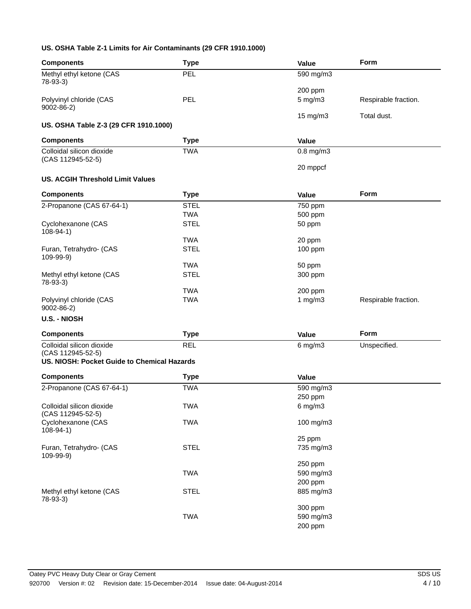#### **US. OSHA Table Z-1 Limits for Air Contaminants (29 CFR 1910.1000)**

| <b>Components</b>                                                | <b>Type</b> | Value          | Form                 |
|------------------------------------------------------------------|-------------|----------------|----------------------|
| Methyl ethyl ketone (CAS<br>78-93-3)                             | PEL         | 590 mg/m3      |                      |
|                                                                  |             | 200 ppm        |                      |
| Polyvinyl chloride (CAS<br>$9002 - 86 - 2$                       | PEL         | $5$ mg/m $3$   | Respirable fraction. |
| US. OSHA Table Z-3 (29 CFR 1910.1000)                            |             | 15 mg/m3       | Total dust.          |
| <b>Components</b>                                                | <b>Type</b> | Value          |                      |
| Colloidal silicon dioxide<br>(CAS 112945-52-5)                   | <b>TWA</b>  | $0.8$ mg/m $3$ |                      |
|                                                                  |             | 20 mppcf       |                      |
| <b>US. ACGIH Threshold Limit Values</b>                          |             |                |                      |
| <b>Components</b>                                                | <b>Type</b> | Value          | <b>Form</b>          |
| 2-Propanone (CAS 67-64-1)                                        | <b>STEL</b> | 750 ppm        |                      |
|                                                                  | <b>TWA</b>  | 500 ppm        |                      |
| Cyclohexanone (CAS<br>$108-94-1)$                                | <b>STEL</b> | 50 ppm         |                      |
|                                                                  | <b>TWA</b>  | 20 ppm         |                      |
| Furan, Tetrahydro- (CAS<br>109-99-9)                             | <b>STEL</b> | 100 ppm        |                      |
|                                                                  | <b>TWA</b>  | 50 ppm         |                      |
| Methyl ethyl ketone (CAS<br>78-93-3)                             | <b>STEL</b> | 300 ppm        |                      |
|                                                                  | <b>TWA</b>  | 200 ppm        |                      |
| Polyvinyl chloride (CAS<br>$9002 - 86 - 2$                       | <b>TWA</b>  | 1 $mg/m3$      | Respirable fraction. |
| <b>U.S. - NIOSH</b>                                              |             |                |                      |
| <b>Components</b>                                                | <b>Type</b> | Value          | Form                 |
| Colloidal silicon dioxide                                        | <b>REL</b>  | $6$ mg/m $3$   | Unspecified.         |
| (CAS 112945-52-5)<br>US. NIOSH: Pocket Guide to Chemical Hazards |             |                |                      |
| <b>Components</b>                                                | <b>Type</b> | <b>Value</b>   |                      |
|                                                                  |             |                |                      |
| 2-Propanone (CAS 67-64-1)                                        | <b>TWA</b>  | 590 mg/m3      |                      |
|                                                                  |             | 250 ppm        |                      |
| Colloidal silicon dioxide<br>(CAS 112945-52-5)                   | <b>TWA</b>  | $6$ mg/m $3$   |                      |
| Cyclohexanone (CAS<br>$108-94-1)$                                | <b>TWA</b>  | 100 mg/m3      |                      |
|                                                                  |             | 25 ppm         |                      |
| Furan, Tetrahydro- (CAS<br>$109-99-9)$                           | <b>STEL</b> | 735 mg/m3      |                      |
|                                                                  |             | 250 ppm        |                      |
|                                                                  | <b>TWA</b>  | 590 mg/m3      |                      |
|                                                                  |             | 200 ppm        |                      |
| Methyl ethyl ketone (CAS<br>78-93-3)                             | <b>STEL</b> | 885 mg/m3      |                      |
|                                                                  |             | 300 ppm        |                      |
|                                                                  | <b>TWA</b>  | 590 mg/m3      |                      |
|                                                                  |             | 200 ppm        |                      |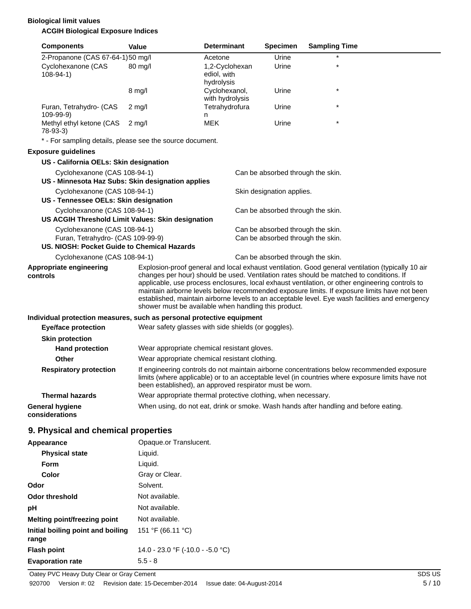## **Biological limit values ACGIH Biological Exposure Indices**

| <b>Components</b>                                                                                                | Value                  | <b>Determinant</b>                                                                                                                                                                                                                                                                                                                                                                                                                                                                                                                                         | <b>Specimen</b>                                                        | <b>Sampling Time</b>                                                                 |
|------------------------------------------------------------------------------------------------------------------|------------------------|------------------------------------------------------------------------------------------------------------------------------------------------------------------------------------------------------------------------------------------------------------------------------------------------------------------------------------------------------------------------------------------------------------------------------------------------------------------------------------------------------------------------------------------------------------|------------------------------------------------------------------------|--------------------------------------------------------------------------------------|
| 2-Propanone (CAS 67-64-1)50 mg/l                                                                                 |                        | Acetone                                                                                                                                                                                                                                                                                                                                                                                                                                                                                                                                                    | Urine                                                                  |                                                                                      |
| Cyclohexanone (CAS<br>$108 - 94 - 1$                                                                             | 80 mg/l                | 1,2-Cyclohexan<br>ediol, with<br>hydrolysis                                                                                                                                                                                                                                                                                                                                                                                                                                                                                                                | Urine                                                                  | $\star$                                                                              |
|                                                                                                                  | $8 \text{ mg/l}$       | Cyclohexanol,<br>with hydrolysis                                                                                                                                                                                                                                                                                                                                                                                                                                                                                                                           | Urine                                                                  |                                                                                      |
| Furan, Tetrahydro- (CAS<br>109-99-9)                                                                             | $2 \text{ mg/l}$       | Tetrahydrofura<br>n                                                                                                                                                                                                                                                                                                                                                                                                                                                                                                                                        | Urine                                                                  | $\star$                                                                              |
| Methyl ethyl ketone (CAS<br>$78-93-3$                                                                            | $2$ mg/l               | <b>MEK</b>                                                                                                                                                                                                                                                                                                                                                                                                                                                                                                                                                 | Urine                                                                  |                                                                                      |
| * - For sampling details, please see the source document.                                                        |                        |                                                                                                                                                                                                                                                                                                                                                                                                                                                                                                                                                            |                                                                        |                                                                                      |
| <b>Exposure guidelines</b>                                                                                       |                        |                                                                                                                                                                                                                                                                                                                                                                                                                                                                                                                                                            |                                                                        |                                                                                      |
| US - California OELs: Skin designation                                                                           |                        |                                                                                                                                                                                                                                                                                                                                                                                                                                                                                                                                                            |                                                                        |                                                                                      |
| Cyclohexanone (CAS 108-94-1)                                                                                     |                        |                                                                                                                                                                                                                                                                                                                                                                                                                                                                                                                                                            | Can be absorbed through the skin.                                      |                                                                                      |
| US - Minnesota Haz Subs: Skin designation applies                                                                |                        |                                                                                                                                                                                                                                                                                                                                                                                                                                                                                                                                                            |                                                                        |                                                                                      |
| Cyclohexanone (CAS 108-94-1)                                                                                     |                        |                                                                                                                                                                                                                                                                                                                                                                                                                                                                                                                                                            | Skin designation applies.                                              |                                                                                      |
| US - Tennessee OELs: Skin designation                                                                            |                        |                                                                                                                                                                                                                                                                                                                                                                                                                                                                                                                                                            |                                                                        |                                                                                      |
| Cyclohexanone (CAS 108-94-1)                                                                                     |                        |                                                                                                                                                                                                                                                                                                                                                                                                                                                                                                                                                            | Can be absorbed through the skin.                                      |                                                                                      |
| US ACGIH Threshold Limit Values: Skin designation                                                                |                        |                                                                                                                                                                                                                                                                                                                                                                                                                                                                                                                                                            |                                                                        |                                                                                      |
| Cyclohexanone (CAS 108-94-1)<br>Furan, Tetrahydro- (CAS 109-99-9)<br>US. NIOSH: Pocket Guide to Chemical Hazards |                        |                                                                                                                                                                                                                                                                                                                                                                                                                                                                                                                                                            | Can be absorbed through the skin.<br>Can be absorbed through the skin. |                                                                                      |
| Cyclohexanone (CAS 108-94-1)                                                                                     |                        |                                                                                                                                                                                                                                                                                                                                                                                                                                                                                                                                                            | Can be absorbed through the skin.                                      |                                                                                      |
| Appropriate engineering<br>controls                                                                              |                        | Explosion-proof general and local exhaust ventilation. Good general ventilation (typically 10 air<br>changes per hour) should be used. Ventilation rates should be matched to conditions. If<br>applicable, use process enclosures, local exhaust ventilation, or other engineering controls to<br>maintain airborne levels below recommended exposure limits. If exposure limits have not been<br>established, maintain airborne levels to an acceptable level. Eye wash facilities and emergency<br>shower must be available when handling this product. |                                                                        |                                                                                      |
| Individual protection measures, such as personal protective equipment                                            |                        |                                                                                                                                                                                                                                                                                                                                                                                                                                                                                                                                                            |                                                                        |                                                                                      |
| <b>Eye/face protection</b>                                                                                       |                        | Wear safety glasses with side shields (or goggles).                                                                                                                                                                                                                                                                                                                                                                                                                                                                                                        |                                                                        |                                                                                      |
| <b>Skin protection</b>                                                                                           |                        |                                                                                                                                                                                                                                                                                                                                                                                                                                                                                                                                                            |                                                                        |                                                                                      |
| <b>Hand protection</b>                                                                                           |                        | Wear appropriate chemical resistant gloves.                                                                                                                                                                                                                                                                                                                                                                                                                                                                                                                |                                                                        |                                                                                      |
| <b>Other</b>                                                                                                     |                        | Wear appropriate chemical resistant clothing.                                                                                                                                                                                                                                                                                                                                                                                                                                                                                                              |                                                                        |                                                                                      |
| <b>Respiratory protection</b>                                                                                    |                        | If engineering controls do not maintain airborne concentrations below recommended exposure<br>limits (where applicable) or to an acceptable level (in countries where exposure limits have not<br>been established), an approved respirator must be worn.                                                                                                                                                                                                                                                                                                  |                                                                        |                                                                                      |
| <b>Thermal hazards</b>                                                                                           |                        | Wear appropriate thermal protective clothing, when necessary.                                                                                                                                                                                                                                                                                                                                                                                                                                                                                              |                                                                        |                                                                                      |
| <b>General hygiene</b><br>considerations                                                                         |                        |                                                                                                                                                                                                                                                                                                                                                                                                                                                                                                                                                            |                                                                        | When using, do not eat, drink or smoke. Wash hands after handling and before eating. |
| 9. Physical and chemical properties                                                                              |                        |                                                                                                                                                                                                                                                                                                                                                                                                                                                                                                                                                            |                                                                        |                                                                                      |
| Appearance                                                                                                       | Opaque.or Translucent. |                                                                                                                                                                                                                                                                                                                                                                                                                                                                                                                                                            |                                                                        |                                                                                      |
| <b>Physical state</b>                                                                                            | Liquid.                |                                                                                                                                                                                                                                                                                                                                                                                                                                                                                                                                                            |                                                                        |                                                                                      |
| Form                                                                                                             | Liquid.                |                                                                                                                                                                                                                                                                                                                                                                                                                                                                                                                                                            |                                                                        |                                                                                      |
| Color                                                                                                            | Gray or Clear.         |                                                                                                                                                                                                                                                                                                                                                                                                                                                                                                                                                            |                                                                        |                                                                                      |
| Odor                                                                                                             | Solvent.               |                                                                                                                                                                                                                                                                                                                                                                                                                                                                                                                                                            |                                                                        |                                                                                      |

**Flash point** 14.0 - 23.0 °F (-10.0 - -5.0 °C)

151 °F (66.11 °C)

**Odor threshold** Not available. **pH** Not available. **Melting point/freezing point** Not available.

**Initial boiling point and boiling**

**Evaporation rate** 5.5 - 8

**range**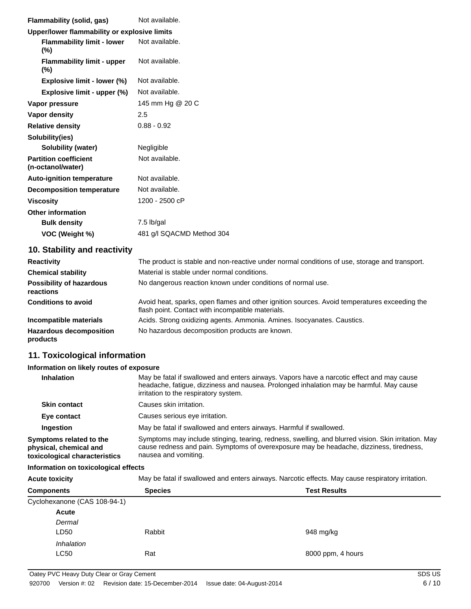| <b>Flammability (solid, gas)</b>                  | Not available.            |
|---------------------------------------------------|---------------------------|
| Upper/lower flammability or explosive limits      |                           |
| <b>Flammability limit - lower</b><br>$(\%)$       | Not available.            |
| <b>Flammability limit - upper</b><br>$(\%)$       | Not available.            |
| Explosive limit - lower (%)                       | Not available.            |
| Explosive limit - upper (%)                       | Not available.            |
| Vapor pressure                                    | 145 mm Hg @ 20 C          |
| <b>Vapor density</b>                              | 2.5                       |
| <b>Relative density</b>                           | $0.88 - 0.92$             |
| Solubility(ies)                                   |                           |
| Solubility (water)                                | Negligible                |
| <b>Partition coefficient</b><br>(n-octanol/water) | Not available.            |
| <b>Auto-ignition temperature</b>                  | Not available.            |
| <b>Decomposition temperature</b>                  | Not available.            |
| <b>Viscosity</b>                                  | 1200 - 2500 cP            |
| <b>Other information</b>                          |                           |
| <b>Bulk density</b>                               | 7.5 lb/gal                |
| VOC (Weight %)                                    | 481 g/l SQACMD Method 304 |
|                                                   |                           |

# **10. Stability and reactivity**

| <b>Reactivity</b>                            | The product is stable and non-reactive under normal conditions of use, storage and transport.                                                     |
|----------------------------------------------|---------------------------------------------------------------------------------------------------------------------------------------------------|
| <b>Chemical stability</b>                    | Material is stable under normal conditions.                                                                                                       |
| <b>Possibility of hazardous</b><br>reactions | No dangerous reaction known under conditions of normal use.                                                                                       |
| <b>Conditions to avoid</b>                   | Avoid heat, sparks, open flames and other ignition sources. Avoid temperatures exceeding the<br>flash point. Contact with incompatible materials. |
| Incompatible materials                       | Acids. Strong oxidizing agents. Ammonia. Amines. Isocyanates. Caustics.                                                                           |
| <b>Hazardous decomposition</b><br>products   | No hazardous decomposition products are known.                                                                                                    |

# **11. Toxicological information**

#### **Information on likely routes of exposure**

| <b>Inhalation</b>                                                                  | May be fatal if swallowed and enters airways. Vapors have a narcotic effect and may cause<br>headache, fatigue, dizziness and nausea. Prolonged inhalation may be harmful. May cause<br>irritation to the respiratory system. |
|------------------------------------------------------------------------------------|-------------------------------------------------------------------------------------------------------------------------------------------------------------------------------------------------------------------------------|
| <b>Skin contact</b>                                                                | Causes skin irritation.                                                                                                                                                                                                       |
| Eye contact                                                                        | Causes serious eye irritation.                                                                                                                                                                                                |
| Ingestion                                                                          | May be fatal if swallowed and enters airways. Harmful if swallowed.                                                                                                                                                           |
| Symptoms related to the<br>physical, chemical and<br>toxicological characteristics | Symptoms may include stinging, tearing, redness, swelling, and blurred vision. Skin irritation. May<br>cause redness and pain. Symptoms of overexposure may be headache, dizziness, tiredness,<br>nausea and vomiting.        |

#### **Information on toxicological effects**

**Acute toxicity** May be fatal if swallowed and enters airways. Narcotic effects. May cause respiratory irritation.

| <b>Species</b><br><b>Test Results</b> |
|---------------------------------------|
|                                       |
|                                       |
|                                       |
| Rabbit<br>948 mg/kg                   |
|                                       |
| 8000 ppm, 4 hours                     |
|                                       |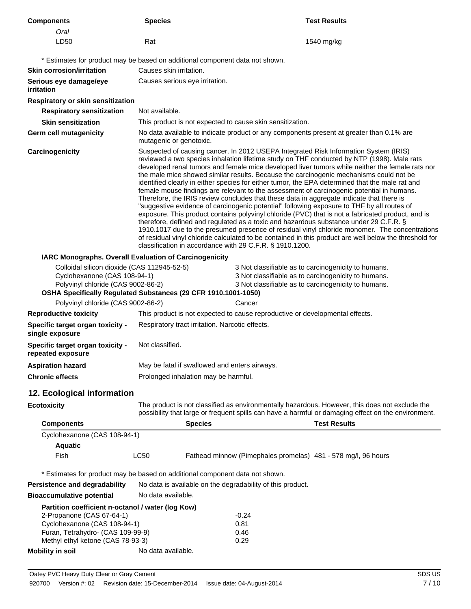| <b>Components</b>                                                                                                                                                                        | <b>Species</b>                                                                                                                                                                                                                                                                                                                                                                                                                                                                                                                                                                                                                                                                                                                                                                                                                                                                                                                                                                                                                                                                                                                                                                                                                                 |                                               |                                                                              | <b>Test Results</b>                                                                                                                                                                                   |
|------------------------------------------------------------------------------------------------------------------------------------------------------------------------------------------|------------------------------------------------------------------------------------------------------------------------------------------------------------------------------------------------------------------------------------------------------------------------------------------------------------------------------------------------------------------------------------------------------------------------------------------------------------------------------------------------------------------------------------------------------------------------------------------------------------------------------------------------------------------------------------------------------------------------------------------------------------------------------------------------------------------------------------------------------------------------------------------------------------------------------------------------------------------------------------------------------------------------------------------------------------------------------------------------------------------------------------------------------------------------------------------------------------------------------------------------|-----------------------------------------------|------------------------------------------------------------------------------|-------------------------------------------------------------------------------------------------------------------------------------------------------------------------------------------------------|
| Oral                                                                                                                                                                                     |                                                                                                                                                                                                                                                                                                                                                                                                                                                                                                                                                                                                                                                                                                                                                                                                                                                                                                                                                                                                                                                                                                                                                                                                                                                |                                               |                                                                              |                                                                                                                                                                                                       |
| LD50                                                                                                                                                                                     | Rat                                                                                                                                                                                                                                                                                                                                                                                                                                                                                                                                                                                                                                                                                                                                                                                                                                                                                                                                                                                                                                                                                                                                                                                                                                            |                                               |                                                                              | 1540 mg/kg                                                                                                                                                                                            |
| * Estimates for product may be based on additional component data not shown.                                                                                                             |                                                                                                                                                                                                                                                                                                                                                                                                                                                                                                                                                                                                                                                                                                                                                                                                                                                                                                                                                                                                                                                                                                                                                                                                                                                |                                               |                                                                              |                                                                                                                                                                                                       |
| <b>Skin corrosion/irritation</b>                                                                                                                                                         | Causes skin irritation.                                                                                                                                                                                                                                                                                                                                                                                                                                                                                                                                                                                                                                                                                                                                                                                                                                                                                                                                                                                                                                                                                                                                                                                                                        |                                               |                                                                              |                                                                                                                                                                                                       |
| Serious eye damage/eye<br>irritation                                                                                                                                                     |                                                                                                                                                                                                                                                                                                                                                                                                                                                                                                                                                                                                                                                                                                                                                                                                                                                                                                                                                                                                                                                                                                                                                                                                                                                | Causes serious eye irritation.                |                                                                              |                                                                                                                                                                                                       |
| Respiratory or skin sensitization                                                                                                                                                        |                                                                                                                                                                                                                                                                                                                                                                                                                                                                                                                                                                                                                                                                                                                                                                                                                                                                                                                                                                                                                                                                                                                                                                                                                                                |                                               |                                                                              |                                                                                                                                                                                                       |
| <b>Respiratory sensitization</b>                                                                                                                                                         | Not available.                                                                                                                                                                                                                                                                                                                                                                                                                                                                                                                                                                                                                                                                                                                                                                                                                                                                                                                                                                                                                                                                                                                                                                                                                                 |                                               |                                                                              |                                                                                                                                                                                                       |
| <b>Skin sensitization</b>                                                                                                                                                                |                                                                                                                                                                                                                                                                                                                                                                                                                                                                                                                                                                                                                                                                                                                                                                                                                                                                                                                                                                                                                                                                                                                                                                                                                                                |                                               | This product is not expected to cause skin sensitization.                    |                                                                                                                                                                                                       |
| <b>Germ cell mutagenicity</b>                                                                                                                                                            | mutagenic or genotoxic.                                                                                                                                                                                                                                                                                                                                                                                                                                                                                                                                                                                                                                                                                                                                                                                                                                                                                                                                                                                                                                                                                                                                                                                                                        |                                               |                                                                              | No data available to indicate product or any components present at greater than 0.1% are                                                                                                              |
| Carcinogenicity                                                                                                                                                                          | Suspected of causing cancer. In 2012 USEPA Integrated Risk Information System (IRIS)<br>reviewed a two species inhalation lifetime study on THF conducted by NTP (1998). Male rats<br>developed renal tumors and female mice developed liver tumors while neither the female rats nor<br>the male mice showed similar results. Because the carcinogenic mechanisms could not be<br>identified clearly in either species for either tumor, the EPA determined that the male rat and<br>female mouse findings are relevant to the assessment of carcinogenic potential in humans.<br>Therefore, the IRIS review concludes that these data in aggregate indicate that there is<br>"suggestive evidence of carcinogenic potential" following exposure to THF by all routes of<br>exposure. This product contains polyvinyl chloride (PVC) that is not a fabricated product, and is<br>therefore, defined and regulated as a toxic and hazardous substance under 29 C.F.R. §<br>1910.1017 due to the presumed presence of residual vinyl chloride monomer. The concentrations<br>of residual vinyl chloride calculated to be contained in this product are well below the threshold for<br>classification in accordance with 29 C.F.R. § 1910.1200. |                                               |                                                                              |                                                                                                                                                                                                       |
| IARC Monographs. Overall Evaluation of Carcinogenicity                                                                                                                                   |                                                                                                                                                                                                                                                                                                                                                                                                                                                                                                                                                                                                                                                                                                                                                                                                                                                                                                                                                                                                                                                                                                                                                                                                                                                |                                               |                                                                              |                                                                                                                                                                                                       |
| Colloidal silicon dioxide (CAS 112945-52-5)<br>Cyclohexanone (CAS 108-94-1)<br>Polyvinyl chloride (CAS 9002-86-2)<br>OSHA Specifically Regulated Substances (29 CFR 1910.1001-1050)      |                                                                                                                                                                                                                                                                                                                                                                                                                                                                                                                                                                                                                                                                                                                                                                                                                                                                                                                                                                                                                                                                                                                                                                                                                                                |                                               |                                                                              | 3 Not classifiable as to carcinogenicity to humans.<br>3 Not classifiable as to carcinogenicity to humans.<br>3 Not classifiable as to carcinogenicity to humans.                                     |
| Polyvinyl chloride (CAS 9002-86-2)                                                                                                                                                       |                                                                                                                                                                                                                                                                                                                                                                                                                                                                                                                                                                                                                                                                                                                                                                                                                                                                                                                                                                                                                                                                                                                                                                                                                                                |                                               | Cancer                                                                       |                                                                                                                                                                                                       |
| <b>Reproductive toxicity</b>                                                                                                                                                             |                                                                                                                                                                                                                                                                                                                                                                                                                                                                                                                                                                                                                                                                                                                                                                                                                                                                                                                                                                                                                                                                                                                                                                                                                                                |                                               | This product is not expected to cause reproductive or developmental effects. |                                                                                                                                                                                                       |
| Specific target organ toxicity -<br>single exposure                                                                                                                                      | Respiratory tract irritation. Narcotic effects.                                                                                                                                                                                                                                                                                                                                                                                                                                                                                                                                                                                                                                                                                                                                                                                                                                                                                                                                                                                                                                                                                                                                                                                                |                                               |                                                                              |                                                                                                                                                                                                       |
| Specific target organ toxicity -<br>repeated exposure                                                                                                                                    | Not classified.                                                                                                                                                                                                                                                                                                                                                                                                                                                                                                                                                                                                                                                                                                                                                                                                                                                                                                                                                                                                                                                                                                                                                                                                                                |                                               |                                                                              |                                                                                                                                                                                                       |
| <b>Aspiration hazard</b>                                                                                                                                                                 |                                                                                                                                                                                                                                                                                                                                                                                                                                                                                                                                                                                                                                                                                                                                                                                                                                                                                                                                                                                                                                                                                                                                                                                                                                                | May be fatal if swallowed and enters airways. |                                                                              |                                                                                                                                                                                                       |
| <b>Chronic effects</b>                                                                                                                                                                   | Prolonged inhalation may be harmful.                                                                                                                                                                                                                                                                                                                                                                                                                                                                                                                                                                                                                                                                                                                                                                                                                                                                                                                                                                                                                                                                                                                                                                                                           |                                               |                                                                              |                                                                                                                                                                                                       |
| 12. Ecological information                                                                                                                                                               |                                                                                                                                                                                                                                                                                                                                                                                                                                                                                                                                                                                                                                                                                                                                                                                                                                                                                                                                                                                                                                                                                                                                                                                                                                                |                                               |                                                                              |                                                                                                                                                                                                       |
| <b>Ecotoxicity</b>                                                                                                                                                                       |                                                                                                                                                                                                                                                                                                                                                                                                                                                                                                                                                                                                                                                                                                                                                                                                                                                                                                                                                                                                                                                                                                                                                                                                                                                |                                               |                                                                              | The product is not classified as environmentally hazardous. However, this does not exclude the<br>possibility that large or frequent spills can have a harmful or damaging effect on the environment. |
| <b>Components</b>                                                                                                                                                                        |                                                                                                                                                                                                                                                                                                                                                                                                                                                                                                                                                                                                                                                                                                                                                                                                                                                                                                                                                                                                                                                                                                                                                                                                                                                | <b>Species</b>                                |                                                                              | <b>Test Results</b>                                                                                                                                                                                   |
| Cyclohexanone (CAS 108-94-1)<br><b>Aquatic</b>                                                                                                                                           |                                                                                                                                                                                                                                                                                                                                                                                                                                                                                                                                                                                                                                                                                                                                                                                                                                                                                                                                                                                                                                                                                                                                                                                                                                                |                                               |                                                                              |                                                                                                                                                                                                       |
| Fish                                                                                                                                                                                     | LC50                                                                                                                                                                                                                                                                                                                                                                                                                                                                                                                                                                                                                                                                                                                                                                                                                                                                                                                                                                                                                                                                                                                                                                                                                                           |                                               |                                                                              | Fathead minnow (Pimephales promelas) 481 - 578 mg/l, 96 hours                                                                                                                                         |
| * Estimates for product may be based on additional component data not shown.                                                                                                             |                                                                                                                                                                                                                                                                                                                                                                                                                                                                                                                                                                                                                                                                                                                                                                                                                                                                                                                                                                                                                                                                                                                                                                                                                                                |                                               |                                                                              |                                                                                                                                                                                                       |
| <b>Persistence and degradability</b>                                                                                                                                                     | No data is available on the degradability of this product.                                                                                                                                                                                                                                                                                                                                                                                                                                                                                                                                                                                                                                                                                                                                                                                                                                                                                                                                                                                                                                                                                                                                                                                     |                                               |                                                                              |                                                                                                                                                                                                       |
| <b>Bioaccumulative potential</b>                                                                                                                                                         | No data available.                                                                                                                                                                                                                                                                                                                                                                                                                                                                                                                                                                                                                                                                                                                                                                                                                                                                                                                                                                                                                                                                                                                                                                                                                             |                                               |                                                                              |                                                                                                                                                                                                       |
| Partition coefficient n-octanol / water (log Kow)<br>2-Propanone (CAS 67-64-1)<br>Cyclohexanone (CAS 108-94-1)<br>Furan, Tetrahydro- (CAS 109-99-9)<br>Methyl ethyl ketone (CAS 78-93-3) |                                                                                                                                                                                                                                                                                                                                                                                                                                                                                                                                                                                                                                                                                                                                                                                                                                                                                                                                                                                                                                                                                                                                                                                                                                                |                                               | $-0.24$<br>0.81<br>0.46<br>0.29                                              |                                                                                                                                                                                                       |
| <b>Mobility in soil</b>                                                                                                                                                                  | No data available.                                                                                                                                                                                                                                                                                                                                                                                                                                                                                                                                                                                                                                                                                                                                                                                                                                                                                                                                                                                                                                                                                                                                                                                                                             |                                               |                                                                              |                                                                                                                                                                                                       |
|                                                                                                                                                                                          |                                                                                                                                                                                                                                                                                                                                                                                                                                                                                                                                                                                                                                                                                                                                                                                                                                                                                                                                                                                                                                                                                                                                                                                                                                                |                                               |                                                                              |                                                                                                                                                                                                       |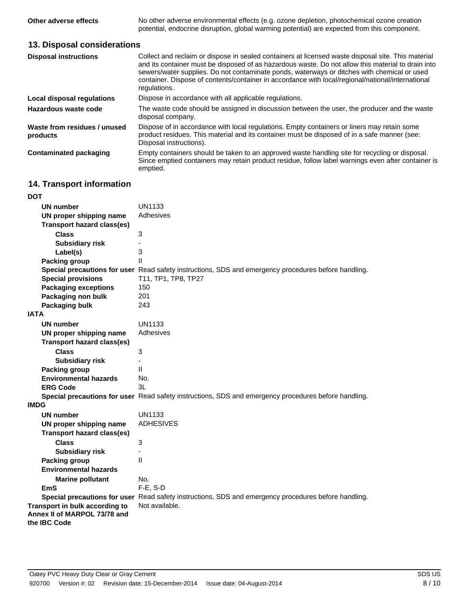**Other adverse effects** No other adverse environmental effects (e.g. ozone depletion, photochemical ozone creation potential, endocrine disruption, global warming potential) are expected from this component.

# **13. Disposal considerations**

| <b>Disposal instructions</b>             | Collect and reclaim or dispose in sealed containers at licensed waste disposal site. This material<br>and its container must be disposed of as hazardous waste. Do not allow this material to drain into<br>sewers/water supplies. Do not contaminate ponds, waterways or ditches with chemical or used<br>container. Dispose of contents/container in accordance with local/regional/national/international<br>regulations. |
|------------------------------------------|------------------------------------------------------------------------------------------------------------------------------------------------------------------------------------------------------------------------------------------------------------------------------------------------------------------------------------------------------------------------------------------------------------------------------|
| Local disposal regulations               | Dispose in accordance with all applicable regulations.                                                                                                                                                                                                                                                                                                                                                                       |
| Hazardous waste code                     | The waste code should be assigned in discussion between the user, the producer and the waste<br>disposal company.                                                                                                                                                                                                                                                                                                            |
| Waste from residues / unused<br>products | Dispose of in accordance with local regulations. Empty containers or liners may retain some<br>product residues. This material and its container must be disposed of in a safe manner (see:<br>Disposal instructions).                                                                                                                                                                                                       |
| Contaminated packaging                   | Empty containers should be taken to an approved waste handling site for recycling or disposal.<br>Since emptied containers may retain product residue, follow label warnings even after container is<br>emptied.                                                                                                                                                                                                             |

# **14. Transport information**

| <b>DOT</b>                        |                                                                                                      |
|-----------------------------------|------------------------------------------------------------------------------------------------------|
| UN number                         | <b>UN1133</b>                                                                                        |
| UN proper shipping name           | Adhesives                                                                                            |
| <b>Transport hazard class(es)</b> |                                                                                                      |
| <b>Class</b>                      | $\ensuremath{\mathsf{3}}$                                                                            |
| <b>Subsidiary risk</b>            |                                                                                                      |
| Label(s)                          | 3                                                                                                    |
| <b>Packing group</b>              | $\mathsf{II}$                                                                                        |
|                                   | Special precautions for user Read safety instructions, SDS and emergency procedures before handling. |
| <b>Special provisions</b>         | T11, TP1, TP8, TP27                                                                                  |
| <b>Packaging exceptions</b>       | 150                                                                                                  |
| Packaging non bulk                | 201                                                                                                  |
| <b>Packaging bulk</b>             | 243                                                                                                  |
| <b>IATA</b>                       |                                                                                                      |
| <b>UN number</b>                  | <b>UN1133</b>                                                                                        |
| UN proper shipping name           | Adhesives                                                                                            |
| <b>Transport hazard class(es)</b> |                                                                                                      |
| <b>Class</b>                      | 3                                                                                                    |
| <b>Subsidiary risk</b>            |                                                                                                      |
| <b>Packing group</b>              | $\mathbf{I}$                                                                                         |
| <b>Environmental hazards</b>      | No.                                                                                                  |
| <b>ERG Code</b>                   | 3L                                                                                                   |
|                                   | Special precautions for user Read safety instructions, SDS and emergency procedures before handling. |
| <b>IMDG</b>                       |                                                                                                      |
| <b>UN number</b>                  | <b>UN1133</b>                                                                                        |
| UN proper shipping name           | <b>ADHESIVES</b>                                                                                     |
| <b>Transport hazard class(es)</b> |                                                                                                      |
| <b>Class</b>                      | 3                                                                                                    |
| <b>Subsidiary risk</b>            |                                                                                                      |
| <b>Packing group</b>              | $\mathbf{I}$                                                                                         |
| <b>Environmental hazards</b>      |                                                                                                      |
| <b>Marine pollutant</b>           | No.                                                                                                  |
| <b>EmS</b>                        | F-E, S-D                                                                                             |
|                                   | Special precautions for user Read safety instructions, SDS and emergency procedures before handling. |
| Transport in bulk according to    | Not available.                                                                                       |
| Annex II of MARPOL 73/78 and      |                                                                                                      |
| the IBC Code                      |                                                                                                      |
|                                   |                                                                                                      |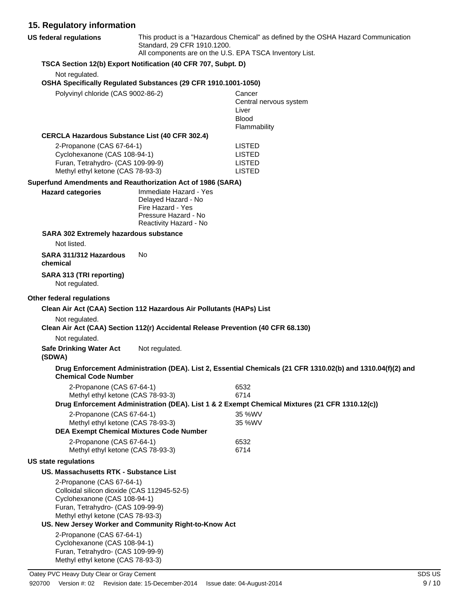# **15. Regulatory information**

| 15. Regulatory information                                                                                                                                                         |                                                                                            |                                                                                                             |
|------------------------------------------------------------------------------------------------------------------------------------------------------------------------------------|--------------------------------------------------------------------------------------------|-------------------------------------------------------------------------------------------------------------|
| <b>US federal regulations</b>                                                                                                                                                      | Standard, 29 CFR 1910.1200.<br>All components are on the U.S. EPA TSCA Inventory List.     | This product is a "Hazardous Chemical" as defined by the OSHA Hazard Communication                          |
|                                                                                                                                                                                    | TSCA Section 12(b) Export Notification (40 CFR 707, Subpt. D)                              |                                                                                                             |
| Not regulated.                                                                                                                                                                     |                                                                                            |                                                                                                             |
|                                                                                                                                                                                    | OSHA Specifically Regulated Substances (29 CFR 1910.1001-1050)                             |                                                                                                             |
| Polyvinyl chloride (CAS 9002-86-2)                                                                                                                                                 |                                                                                            | Cancer<br>Central nervous system                                                                            |
|                                                                                                                                                                                    |                                                                                            | Liver                                                                                                       |
|                                                                                                                                                                                    |                                                                                            | <b>Blood</b>                                                                                                |
| <b>CERCLA Hazardous Substance List (40 CFR 302.4)</b>                                                                                                                              |                                                                                            | Flammability                                                                                                |
| 2-Propanone (CAS 67-64-1)                                                                                                                                                          |                                                                                            | <b>LISTED</b>                                                                                               |
| Cyclohexanone (CAS 108-94-1)                                                                                                                                                       |                                                                                            | <b>LISTED</b>                                                                                               |
| Furan, Tetrahydro- (CAS 109-99-9)                                                                                                                                                  |                                                                                            | <b>LISTED</b>                                                                                               |
| Methyl ethyl ketone (CAS 78-93-3)                                                                                                                                                  |                                                                                            | <b>LISTED</b>                                                                                               |
| Superfund Amendments and Reauthorization Act of 1986 (SARA)                                                                                                                        |                                                                                            |                                                                                                             |
| <b>Hazard categories</b>                                                                                                                                                           | Immediate Hazard - Yes<br>Delayed Hazard - No<br>Fire Hazard - Yes<br>Pressure Hazard - No |                                                                                                             |
|                                                                                                                                                                                    | Reactivity Hazard - No                                                                     |                                                                                                             |
| SARA 302 Extremely hazardous substance<br>Not listed.                                                                                                                              |                                                                                            |                                                                                                             |
| SARA 311/312 Hazardous                                                                                                                                                             | No                                                                                         |                                                                                                             |
| chemical                                                                                                                                                                           |                                                                                            |                                                                                                             |
| SARA 313 (TRI reporting)<br>Not regulated.                                                                                                                                         |                                                                                            |                                                                                                             |
| Other federal regulations                                                                                                                                                          |                                                                                            |                                                                                                             |
|                                                                                                                                                                                    | Clean Air Act (CAA) Section 112 Hazardous Air Pollutants (HAPs) List                       |                                                                                                             |
| Not regulated.                                                                                                                                                                     |                                                                                            |                                                                                                             |
|                                                                                                                                                                                    | Clean Air Act (CAA) Section 112(r) Accidental Release Prevention (40 CFR 68.130)           |                                                                                                             |
| Not regulated.                                                                                                                                                                     |                                                                                            |                                                                                                             |
| <b>Safe Drinking Water Act</b><br>(SDWA)                                                                                                                                           | Not regulated.                                                                             |                                                                                                             |
| <b>Chemical Code Number</b>                                                                                                                                                        |                                                                                            | Drug Enforcement Administration (DEA). List 2, Essential Chemicals (21 CFR 1310.02(b) and 1310.04(f)(2) and |
| 2-Propanone (CAS 67-64-1)                                                                                                                                                          |                                                                                            | 6532                                                                                                        |
| Methyl ethyl ketone (CAS 78-93-3)                                                                                                                                                  |                                                                                            | 6714<br>Drug Enforcement Administration (DEA). List 1 & 2 Exempt Chemical Mixtures (21 CFR 1310.12(c))      |
| 2-Propanone (CAS 67-64-1)                                                                                                                                                          |                                                                                            | 35 %WV                                                                                                      |
| Methyl ethyl ketone (CAS 78-93-3)                                                                                                                                                  |                                                                                            | 35 %WV                                                                                                      |
| <b>DEA Exempt Chemical Mixtures Code Number</b>                                                                                                                                    |                                                                                            |                                                                                                             |
| 2-Propanone (CAS 67-64-1)<br>Methyl ethyl ketone (CAS 78-93-3)                                                                                                                     |                                                                                            | 6532<br>6714                                                                                                |
| <b>US state regulations</b>                                                                                                                                                        |                                                                                            |                                                                                                             |
| US. Massachusetts RTK - Substance List                                                                                                                                             |                                                                                            |                                                                                                             |
| 2-Propanone (CAS 67-64-1)<br>Colloidal silicon dioxide (CAS 112945-52-5)<br>Cyclohexanone (CAS 108-94-1)<br>Furan, Tetrahydro- (CAS 109-99-9)<br>Methyl ethyl ketone (CAS 78-93-3) |                                                                                            |                                                                                                             |
|                                                                                                                                                                                    | US. New Jersey Worker and Community Right-to-Know Act                                      |                                                                                                             |
| 2-Propanone (CAS 67-64-1)                                                                                                                                                          |                                                                                            |                                                                                                             |

Cyclohexanone (CAS 108-94-1) Furan, Tetrahydro- (CAS 109-99-9) Methyl ethyl ketone (CAS 78-93-3)